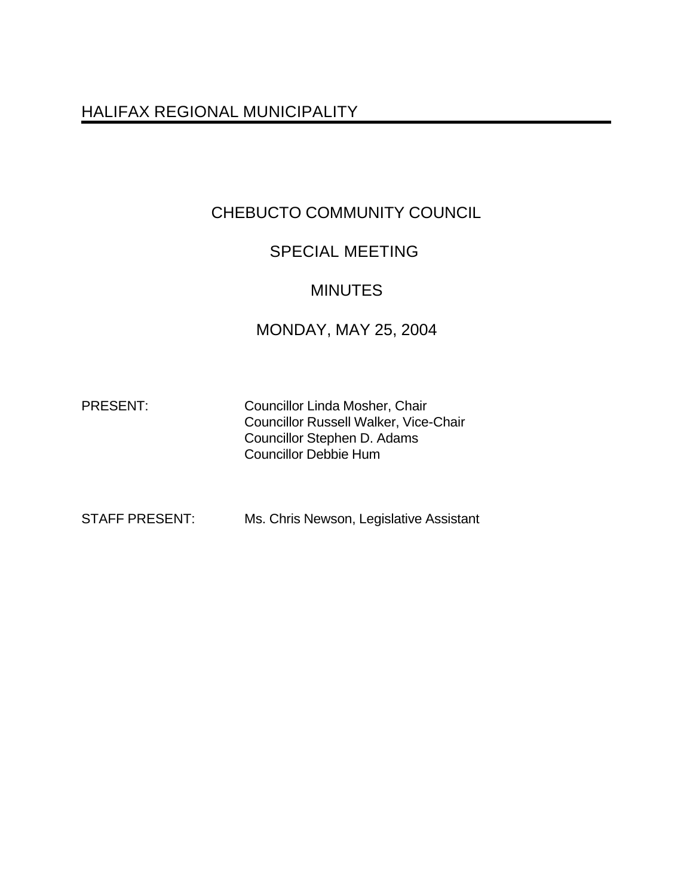# HALIFAX REGIONAL MUNICIPALITY

# CHEBUCTO COMMUNITY COUNCIL

## SPECIAL MEETING

## MINUTES

## MONDAY, MAY 25, 2004

PRESENT: Councillor Linda Mosher, Chair Councillor Russell Walker, Vice-Chair Councillor Stephen D. Adams Councillor Debbie Hum

STAFF PRESENT: Ms. Chris Newson, Legislative Assistant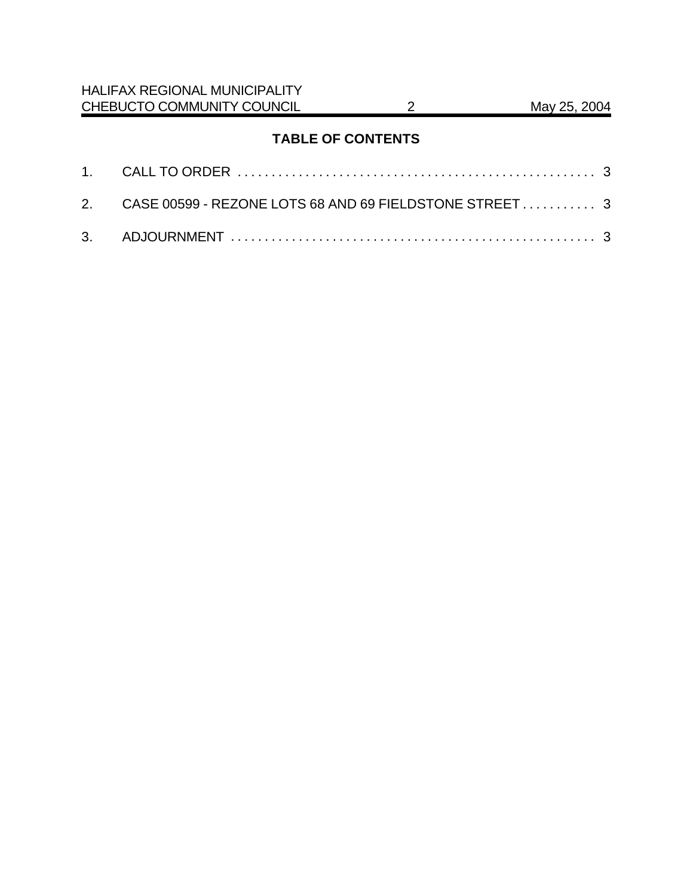## **TABLE OF CONTENTS**

| 2. CASE 00599 - REZONE LOTS 68 AND 69 FIELDSTONE STREET 3 |  |
|-----------------------------------------------------------|--|
|                                                           |  |